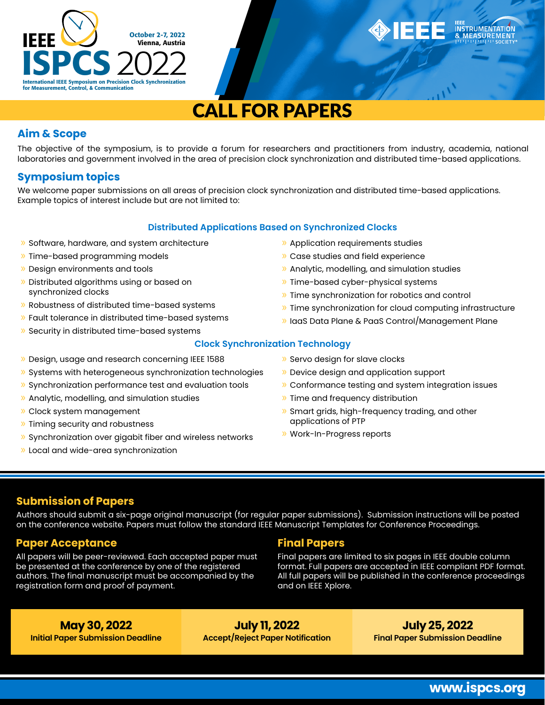

# **CALL FOR PAPERS**

## **Aim & Scope**

The objective of the symposium, is to provide a forum for researchers and practitioners from industry, academia, national laboratories and government involved in the area of precision clock synchronization and distributed time-based applications.

## **Symposium topics**

We welcome paper submissions on all areas of precision clock synchronization and distributed time-based applications. Example topics of interest include but are not limited to:

#### **Distributed Applications Based on Synchronized Clocks**

- » Software, hardware, and system architecture
- » Time-based programming models
- » Design environments and tools
- » Distributed algorithms using or based on synchronized clocks
- » Robustness of distributed time-based systems
- » Fault tolerance in distributed time-based systems
- » Security in distributed time-based systems
- » Design, usage and research concerning IEEE 1588
- » Systems with heterogeneous synchronization technologies
- » Synchronization performance test and evaluation tools
- » Analytic, modelling, and simulation studies
- » Clock system management
- » Timing security and robustness
- » Synchronization over gigabit fiber and wireless networks
- » Local and wide-area synchronization
- » Application requirements studies
- » Case studies and field experience
- » Analytic, modelling, and simulation studies
- » Time-based cyber-physical systems
- » Time synchronization for robotics and control
- » Time synchronization for cloud computing infrastructure
- » IaaS Data Plane & PaaS Control/Management Plane

#### **Clock Synchronization Technology**

- » Servo design for slave clocks
- » Device design and application support
- » Conformance testing and system integration issues
- » Time and frequency distribution
- » Smart grids, high-frequency trading, and other applications of PTP
- » Work-In-Progress reports

## **Submission of Papers**

Authors should submit a six-page original manuscript (for regular paper submissions). Submission instructions will be posted on the conference website. Papers must follow the standard IEEE Manuscript Templates for Conference Proceedings.

# **Paper Acceptance**

All papers will be peer-reviewed. Each accepted paper must be presented at the conference by one of the registered authors. The final manuscript must be accompanied by the registration form and proof of payment.

# **Final Papers**

Final papers are limited to six pages in IEEE double column format. Full papers are accepted in IEEE compliant PDF format. All full papers will be published in the conference proceedings and on IEEE Xplore.

**May 30, 2022 Initial Paper Submission Deadline**

**July 11, 2022 Accept/Reject Paper Notification**

**July 25, 2022 Final Paper Submission Deadline**

INSTRUMENTATION<br>& MEASUREMENT